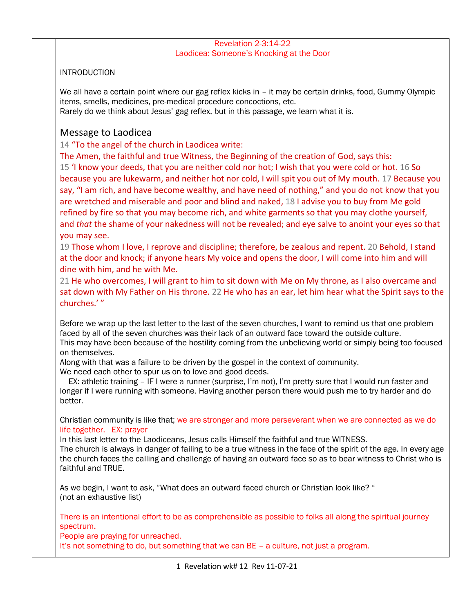#### Revelation 2-3:14-22 Laodicea: Someone's Knocking at the Door

## **INTRODUCTION**

We all have a certain point where our gag reflex kicks in – it may be certain drinks, food, Gummy Olympic items, smells, medicines, pre-medical procedure concoctions, etc.

Rarely do we think about Jesus' gag reflex, but in this passage, we learn what it is.

# Message to Laodicea

14 "To the angel of the church in Laodicea write:

The Amen, the faithful and true Witness, the Beginning of the creation of God, says this:

15 'I know your deeds, that you are neither cold nor hot; I wish that you were cold or hot. 16 So because you are lukewarm, and neither hot nor cold, I will spit you out of My mouth. 17 Because you say, "I am rich, and have become wealthy, and have need of nothing," and you do not know that you are wretched and miserable and poor and blind and naked, 18 I advise you to buy from Me gold refined by fire so that you may become rich, and white garments so that you may clothe yourself, and *that* the shame of your nakedness will not be revealed; and eye salve to anoint your eyes so that you may see.

19 Those whom I love, I reprove and discipline; therefore, be zealous and repent. 20 Behold, I stand at the door and knock; if anyone hears My voice and opens the door, I will come into him and will dine with him, and he with Me.

21 He who overcomes, I will grant to him to sit down with Me on My throne, as I also overcame and sat down with My Father on His throne. 22 He who has an ear, let him hear what the Spirit says to the churches.' "

Before we wrap up the last letter to the last of the seven churches, I want to remind us that one problem faced by all of the seven churches was their lack of an outward face toward the outside culture. This may have been because of the hostility coming from the unbelieving world or simply being too focused on themselves.

Along with that was a failure to be driven by the gospel in the context of community. We need each other to spur us on to love and good deeds.

 EX: athletic training – IF I were a runner (surprise, I'm not), I'm pretty sure that I would run faster and longer if I were running with someone. Having another person there would push me to try harder and do better.

Christian community is like that; we are stronger and more perseverant when we are connected as we do life together. EX: prayer

In this last letter to the Laodiceans, Jesus calls Himself the faithful and true WITNESS. The church is always in danger of failing to be a true witness in the face of the spirit of the age. In every age the church faces the calling and challenge of having an outward face so as to bear witness to Christ who is faithful and TRUE.

As we begin, I want to ask, "What does an outward faced church or Christian look like? " (not an exhaustive list)

There is an intentional effort to be as comprehensible as possible to folks all along the spiritual journey spectrum.

People are praying for unreached.

It's not something to do, but something that we can BE – a culture, not just a program.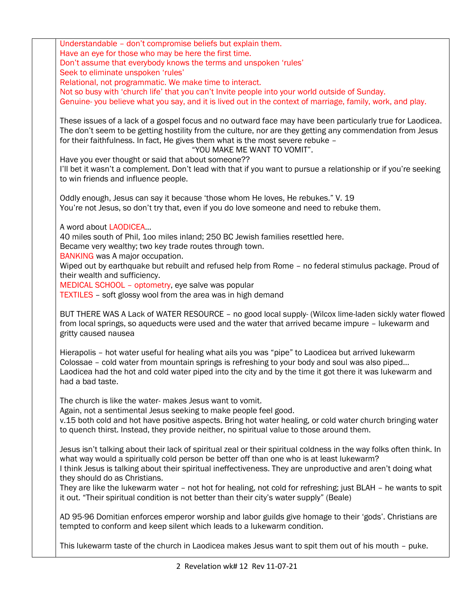Understandable – don't compromise beliefs but explain them. Have an eye for those who may be here the first time. Don't assume that everybody knows the terms and unspoken 'rules' Seek to eliminate unspoken 'rules' Relational, not programmatic. We make time to interact. Not so busy with 'church life' that you can't Invite people into your world outside of Sunday. Genuine- you believe what you say, and it is lived out in the context of marriage, family, work, and play. These issues of a lack of a gospel focus and no outward face may have been particularly true for Laodicea. The don't seem to be getting hostility from the culture, nor are they getting any commendation from Jesus for their faithfulness. In fact, He gives them what is the most severe rebuke – "YOU MAKE ME WANT TO VOMIT". Have you ever thought or said that about someone?? I'll bet it wasn't a complement. Don't lead with that if you want to pursue a relationship or if you're seeking to win friends and influence people. Oddly enough, Jesus can say it because 'those whom He loves, He rebukes." V. 19 You're not Jesus, so don't try that, even if you do love someone and need to rebuke them. A word about LAODICEA… 40 miles south of Phil, 1oo miles inland; 250 BC Jewish families resettled here. Became very wealthy; two key trade routes through town. BANKING was A major occupation. Wiped out by earthquake but rebuilt and refused help from Rome – no federal stimulus package. Proud of their wealth and sufficiency. MEDICAL SCHOOL – optometry, eye salve was popular TEXTILES – soft glossy wool from the area was in high demand BUT THERE WAS A Lack of WATER RESOURCE – no good local supply- (Wilcox lime-laden sickly water flowed from local springs, so aqueducts were used and the water that arrived became impure – lukewarm and gritty caused nausea Hierapolis – hot water useful for healing what ails you was "pipe" to Laodicea but arrived lukewarm Colossae – cold water from mountain springs is refreshing to your body and soul was also piped… Laodicea had the hot and cold water piped into the city and by the time it got there it was lukewarm and had a bad taste. The church is like the water- makes Jesus want to vomit. Again, not a sentimental Jesus seeking to make people feel good. v.15 both cold and hot have positive aspects. Bring hot water healing, or cold water church bringing water to quench thirst. Instead, they provide neither, no spiritual value to those around them. Jesus isn't talking about their lack of spiritual zeal or their spiritual coldness in the way folks often think. In what way would a spiritually cold person be better off than one who is at least lukewarm? I think Jesus is talking about their spiritual ineffectiveness. They are unproductive and aren't doing what they should do as Christians. They are like the lukewarm water – not hot for healing, not cold for refreshing; just BLAH – he wants to spit it out. "Their spiritual condition is not better than their city's water supply" (Beale) AD 95-96 Domitian enforces emperor worship and labor guilds give homage to their 'gods'. Christians are tempted to conform and keep silent which leads to a lukewarm condition.

This lukewarm taste of the church in Laodicea makes Jesus want to spit them out of his mouth – puke.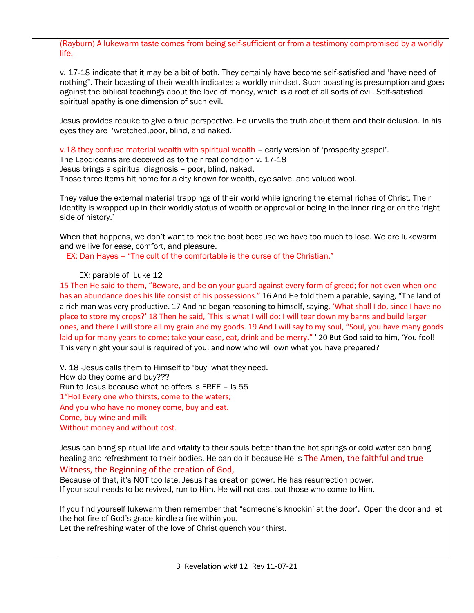(Rayburn) A lukewarm taste comes from being self-sufficient or from a testimony compromised by a worldly life.

v. 17-18 indicate that it may be a bit of both. They certainly have become self-satisfied and 'have need of nothing". Their boasting of their wealth indicates a worldly mindset. Such boasting is presumption and goes against the biblical teachings about the love of money, which is a root of all sorts of evil. Self-satisfied spiritual apathy is one dimension of such evil.

Jesus provides rebuke to give a true perspective. He unveils the truth about them and their delusion. In his eyes they are 'wretched,poor, blind, and naked.'

v.18 they confuse material wealth with spiritual wealth – early version of 'prosperity gospel'.

The Laodiceans are deceived as to their real condition v. 17-18

Jesus brings a spiritual diagnosis – poor, blind, naked.

Those three items hit home for a city known for wealth, eye salve, and valued wool.

They value the external material trappings of their world while ignoring the eternal riches of Christ. Their identity is wrapped up in their worldly status of wealth or approval or being in the inner ring or on the 'right side of history.'

When that happens, we don't want to rock the boat because we have too much to lose. We are lukewarm and we live for ease, comfort, and pleasure.

EX: Dan Hayes – "The cult of the comfortable is the curse of the Christian."

### EX: parable of Luke 12

15 Then He said to them, "Beware, and be on your guard against every form of greed; for not even when one has an abundance does his life consist of his possessions." 16 And He told them a parable, saying, "The land of a rich man was very productive. 17 And he began reasoning to himself, saying, 'What shall I do, since I have no place to store my crops?' 18 Then he said, 'This is what I will do: I will tear down my barns and build larger ones, and there I will store all my grain and my goods. 19 And I will say to my soul, "Soul, you have many goods laid up for many years to come; take your ease, eat, drink and be merry." ' 20 But God said to him, 'You fool! This very night your soul is required of you; and now who will own what you have prepared?

V. 18 -Jesus calls them to Himself to 'buy' what they need. How do they come and buy??? Run to Jesus because what he offers is FREE – Is 55 1"Ho! Every one who thirsts, come to the waters; And you who have no money come, buy and eat. Come, buy wine and milk Without money and without cost.

Jesus can bring spiritual life and vitality to their souls better than the hot springs or cold water can bring healing and refreshment to their bodies. He can do it because He is The Amen, the faithful and true

### Witness, the Beginning of the creation of God,

Because of that, it's NOT too late. Jesus has creation power. He has resurrection power. If your soul needs to be revived, run to Him. He will not cast out those who come to Him.

If you find yourself lukewarm then remember that "someone's knockin' at the door'. Open the door and let the hot fire of God's grace kindle a fire within you.

Let the refreshing water of the love of Christ quench your thirst.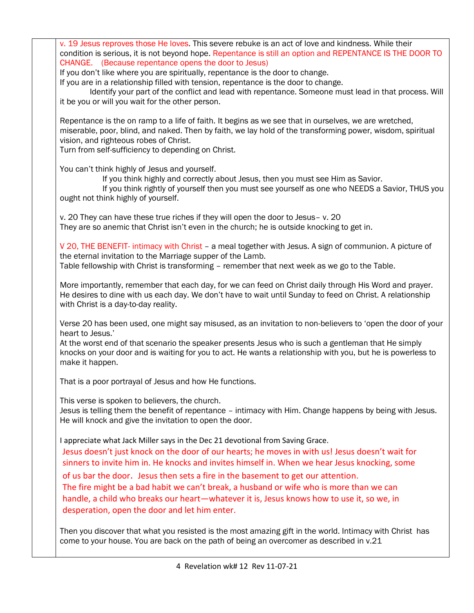v. 19 Jesus reproves those He loves. This severe rebuke is an act of love and kindness. While their condition is serious, it is not beyond hope. Repentance is still an option and REPENTANCE IS THE DOOR TO CHANGE. (Because repentance opens the door to Jesus) If you don't like where you are spiritually, repentance is the door to change. If you are in a relationship filled with tension, repentance is the door to change. Identify your part of the conflict and lead with repentance. Someone must lead in that process. Will it be you or will you wait for the other person. Repentance is the on ramp to a life of faith. It begins as we see that in ourselves, we are wretched, miserable, poor, blind, and naked. Then by faith, we lay hold of the transforming power, wisdom, spiritual vision, and righteous robes of Christ. Turn from self-sufficiency to depending on Christ. You can't think highly of Jesus and yourself. If you think highly and correctly about Jesus, then you must see Him as Savior. If you think rightly of yourself then you must see yourself as one who NEEDS a Savior, THUS you ought not think highly of yourself. v. 20 They can have these true riches if they will open the door to Jesus– v. 20 They are so anemic that Christ isn't even in the church; he is outside knocking to get in. V 20, THE BENEFIT- intimacy with Christ – a meal together with Jesus. A sign of communion. A picture of the eternal invitation to the Marriage supper of the Lamb. Table fellowship with Christ is transforming – remember that next week as we go to the Table. More importantly, remember that each day, for we can feed on Christ daily through His Word and prayer. He desires to dine with us each day. We don't have to wait until Sunday to feed on Christ. A relationship with Christ is a day-to-day reality. Verse 20 has been used, one might say misused, as an invitation to non-believers to 'open the door of your heart to Jesus.' At the worst end of that scenario the speaker presents Jesus who is such a gentleman that He simply knocks on your door and is waiting for you to act. He wants a relationship with you, but he is powerless to make it happen. That is a poor portrayal of Jesus and how He functions. This verse is spoken to believers, the church. Jesus is telling them the benefit of repentance – intimacy with Him. Change happens by being with Jesus. He will knock and give the invitation to open the door. I appreciate what Jack Miller says in the Dec 21 devotional from Saving Grace. Jesus doesn't just knock on the door of our hearts; he moves in with us! Jesus doesn't wait for sinners to invite him in. He knocks and invites himself in. When we hear Jesus knocking, some of us bar the door. Jesus then sets a fire in the basement to get our attention. The fire might be a bad habit we can't break, a husband or wife who is more than we can handle, a child who breaks our heart—whatever it is, Jesus knows how to use it, so we, in desperation, open the door and let him enter. Then you discover that what you resisted is the most amazing gift in the world. Intimacy with Christ has come to your house. You are back on the path of being an overcomer as described in v.21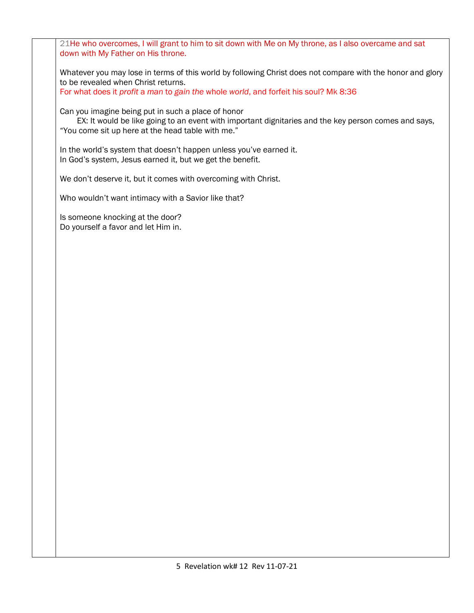21He who overcomes, I will grant to him to sit down with Me on My throne, as I also overcame and sat down with My Father on His throne.

Whatever you may lose in terms of this world by following Christ does not compare with the honor and glory to be revealed when Christ returns.

For what does it *profit* a *man* to *gain the* whole *world*, and forfeit his soul? Mk 8:36

Can you imagine being put in such a place of honor

 EX: It would be like going to an event with important dignitaries and the key person comes and says, "You come sit up here at the head table with me."

In the world's system that doesn't happen unless you've earned it. In God's system, Jesus earned it, but we get the benefit.

We don't deserve it, but it comes with overcoming with Christ.

Who wouldn't want intimacy with a Savior like that?

Is someone knocking at the door? Do yourself a favor and let Him in.